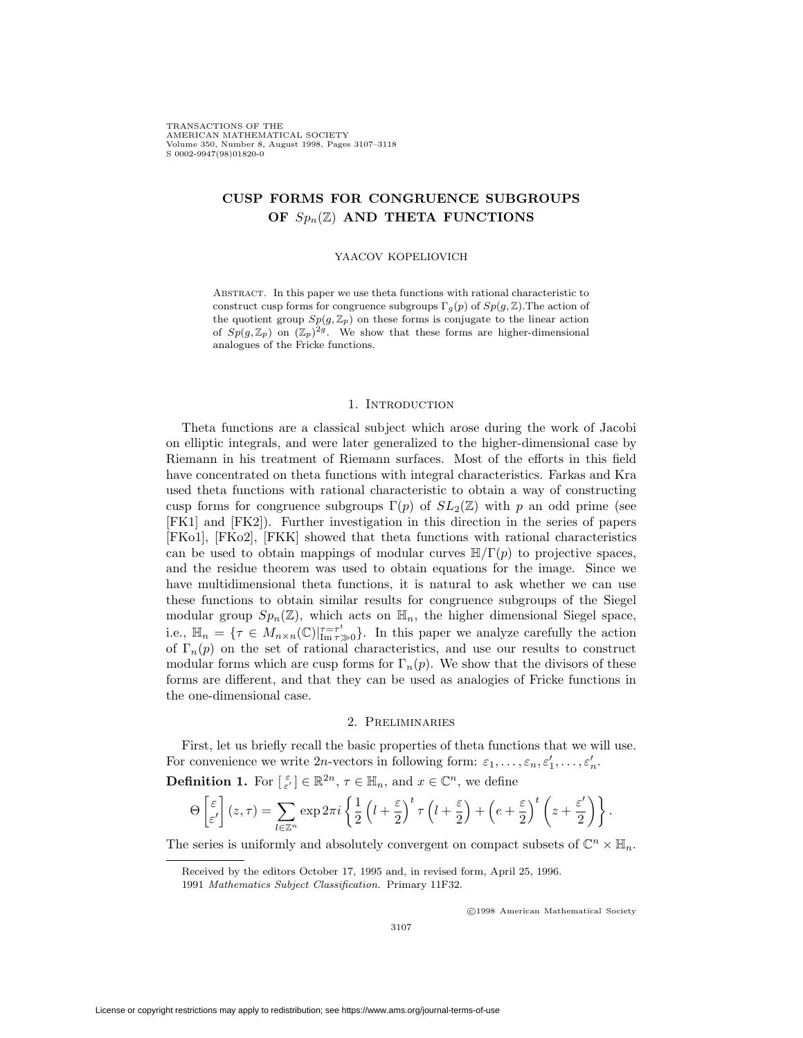TRANSACTIONS OF THE AMERICAN MATHEMATICAL SOCIETY Volume 350, Number 8, August 1998, Pages 3107–3118<br>S.0002-9947(98)01820-0 S 0002-9947(98)01820-0

# **CUSP FORMS FOR CONGRUENCE SUBGROUPS OF** *Spn*(Z) **AND THETA FUNCTIONS**

### YAACOV KOPELIOVICH

Abstract. In this paper we use theta functions with rational characteristic to construct cusp forms for congruence subgroups  $\Gamma_q(p)$  of  $Sp(g, \mathbb{Z})$ . The action of the quotient group  $Sp(g, \mathbb{Z}_p)$  on these forms is conjugate to the linear action of  $Sp(g,\mathbb{Z}_p)$  on  $(\mathbb{Z}_p)^{2g}$ . We show that these forms are higher-dimensional analogues of the Fricke functions.

## 1. INTRODUCTION

Theta functions are a classical subject which arose during the work of Jacobi on elliptic integrals, and were later generalized to the higher-dimensional case by Riemann in his treatment of Riemann surfaces. Most of the efforts in this field have concentrated on theta functions with integral characteristics. Farkas and Kra used theta functions with rational characteristic to obtain a way of constructing cusp forms for congruence subgroups  $\Gamma(p)$  of  $SL_2(\mathbb{Z})$  with p an odd prime (see [FK1] and [FK2]). Further investigation in this direction in the series of papers [FKo1], [FKo2], [FKK] showed that theta functions with rational characteristics can be used to obtain mappings of modular curves  $\mathbb{H}/\Gamma(p)$  to projective spaces, and the residue theorem was used to obtain equations for the image. Since we have multidimensional theta functions, it is natural to ask whether we can use these functions to obtain similar results for congruence subgroups of the Siegel modular group  $Sp_n(\mathbb{Z})$ , which acts on  $\mathbb{H}_n$ , the higher dimensional Siegel space, i.e.,  $\mathbb{H}_n = \{ \tau \in M_{n \times n}(\mathbb{C}) |_{\text{Im } \tau > 0}^{\tau = \tau^t} \}$ . In this paper we analyze carefully the action of  $\Gamma_n(p)$  on the set of rational characteristics, and use our results to construct modular forms which are cusp forms for  $\Gamma_n(p)$ . We show that the divisors of these forms are different, and that they can be used as analogies of Fricke functions in the one-dimensional case.

#### 2. Preliminaries

First, let us briefly recall the basic properties of theta functions that we will use. For convenience we write 2*n*-vectors in following form:  $\varepsilon_1, \ldots, \varepsilon_n, \varepsilon'_1, \ldots, \varepsilon'_n$ .

**Definition 1.** For  $[\epsilon] \in \mathbb{R}^{2n}$ ,  $\tau \in \mathbb{H}_n$ , and  $x \in \mathbb{C}^n$ , we define

$$
\Theta\left[\frac{\varepsilon}{\varepsilon'}\right](z,\tau) = \sum_{l\in\mathbb{Z}^n} \exp 2\pi i \left\{ \frac{1}{2} \left( l + \frac{\varepsilon}{2} \right)^t \tau \left( l + \frac{\varepsilon}{2} \right) + \left( e + \frac{\varepsilon}{2} \right)^t \left( z + \frac{\varepsilon'}{2} \right) \right\}.
$$

The series is uniformly and absolutely convergent on compact subsets of  $\mathbb{C}^n \times \mathbb{H}_n$ .

<sup>c</sup> 1998 American Mathematical Society

Received by the editors October 17, 1995 and, in revised form, April 25, 1996.

<sup>1991</sup> *Mathematics Subject Classification.* Primary 11F32.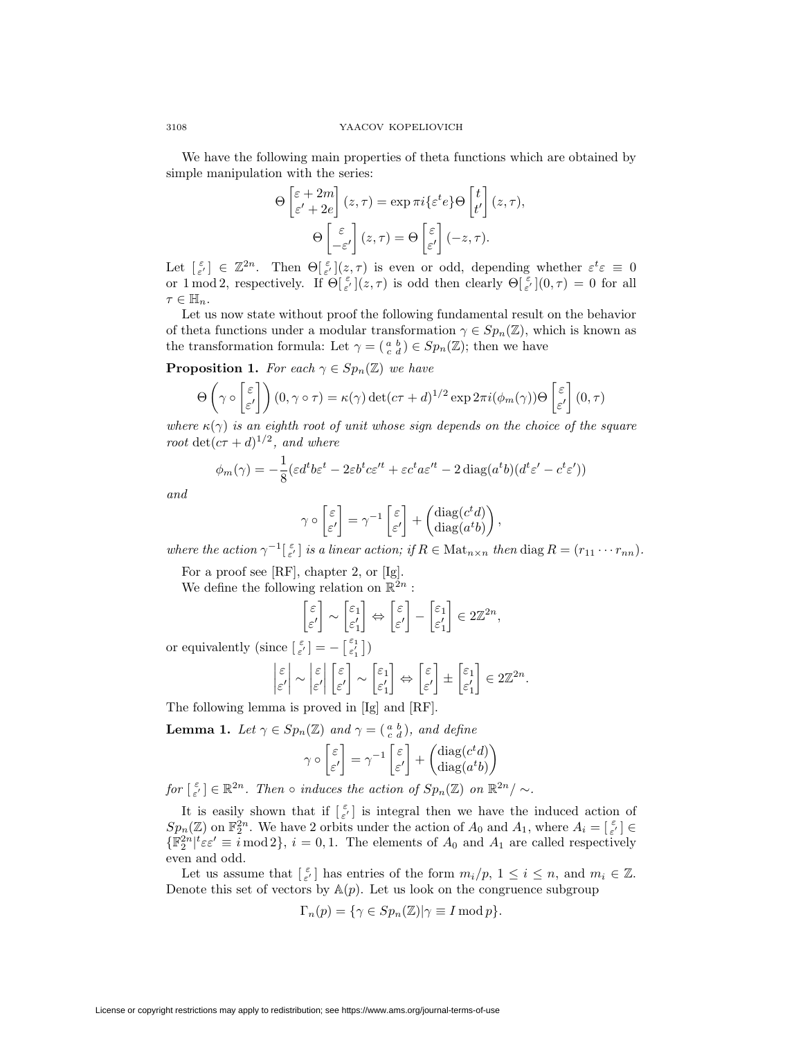We have the following main properties of theta functions which are obtained by simple manipulation with the series:

$$
\Theta\begin{bmatrix} \varepsilon + 2m \\ \varepsilon' + 2e \end{bmatrix}(z,\tau) = \exp \pi i \{\varepsilon^t e\} \Theta\begin{bmatrix} t \\ t' \end{bmatrix}(z,\tau),
$$

$$
\Theta\begin{bmatrix} \varepsilon \\ -\varepsilon' \end{bmatrix}(z,\tau) = \Theta\begin{bmatrix} \varepsilon \\ \varepsilon' \end{bmatrix}(-z,\tau).
$$

Let  $\begin{bmatrix} \varepsilon \\ \varepsilon' \end{bmatrix} \in \mathbb{Z}^{2n}$ . Then  $\Theta[\frac{\varepsilon}{\varepsilon'}](z,\tau)$  is even or odd, depending whether  $\varepsilon^t \varepsilon \equiv 0$ or 1 mod 2, respectively. If  $\Theta[\epsilon](z, \tau)$  is odd then clearly  $\Theta[\epsilon](0, \tau) = 0$  for all  $\tau \in \mathbb{H}_n$ .

Let us now state without proof the following fundamental result on the behavior of theta functions under a modular transformation  $\gamma \in Sp_n(\mathbb{Z})$ , which is known as the transformation formula: Let  $\gamma = \begin{pmatrix} a & b \\ c & d \end{pmatrix} \in Sp_n(\mathbb{Z})$ ; then we have

**Proposition 1.** *For each*  $\gamma \in Sp_n(\mathbb{Z})$  *we have* 

$$
\Theta\left(\gamma \circ \begin{bmatrix} \varepsilon \\ \varepsilon' \end{bmatrix}\right)(0, \gamma \circ \tau) = \kappa(\gamma) \det(c\tau + d)^{1/2} \exp 2\pi i (\phi_m(\gamma)) \Theta\begin{bmatrix} \varepsilon \\ \varepsilon' \end{bmatrix}(0, \tau)
$$

*where*  $\kappa(\gamma)$  *is an eighth root of unit whose sign depends on the choice of the square root*  $\det(c\tau + d)^{1/2}$ *, and where* 

$$
\phi_m(\gamma) = -\frac{1}{8} (\varepsilon d^t b \varepsilon^t - 2\varepsilon b^t c \varepsilon'^t + \varepsilon c^t a \varepsilon'^t - 2 \operatorname{diag}(a^t b) (d^t \varepsilon' - c^t \varepsilon'))
$$

*and*

$$
\gamma \circ \begin{bmatrix} \varepsilon \\ \varepsilon' \end{bmatrix} = \gamma^{-1} \begin{bmatrix} \varepsilon \\ \varepsilon' \end{bmatrix} + \begin{pmatrix} \text{diag}(c^t d) \\ \text{diag}(a^t b) \end{pmatrix},
$$

*where the action*  $\gamma^{-1}[\epsilon]$  *is a linear action; if*  $R \in \text{Mat}_{n \times n}$  *then* diag  $R = (r_{11} \cdots r_{nn})$ *.* 

For a proof see [RF], chapter 2, or [Ig].

We define the following relation on  $\mathbb{R}^{2n}$ :

$$
\begin{bmatrix} \varepsilon \\ \varepsilon' \end{bmatrix} \sim \begin{bmatrix} \varepsilon_1 \\ \varepsilon'_1 \end{bmatrix} \Leftrightarrow \begin{bmatrix} \varepsilon \\ \varepsilon' \end{bmatrix} - \begin{bmatrix} \varepsilon_1 \\ \varepsilon'_1 \end{bmatrix} \in 2\mathbb{Z}^{2n},
$$

or equivalently  $(\text{since } [\varepsilon] \in [-\varepsilon_1^{\varepsilon}] = -[\varepsilon_1^{\varepsilon_1}])$ 

$$
\begin{vmatrix} \varepsilon \\ \varepsilon' \end{vmatrix} \sim \begin{vmatrix} \varepsilon \\ \varepsilon' \end{vmatrix} \begin{bmatrix} \varepsilon \\ \varepsilon' \end{bmatrix} \sim \begin{bmatrix} \varepsilon_1 \\ \varepsilon'_1 \end{bmatrix} \Leftrightarrow \begin{bmatrix} \varepsilon \\ \varepsilon' \end{bmatrix} \pm \begin{bmatrix} \varepsilon_1 \\ \varepsilon'_1 \end{bmatrix} \in 2\mathbb{Z}^{2n}.
$$

The following lemma is proved in [Ig] and [RF].

**Lemma 1.** *Let*  $\gamma \in Sp_n(\mathbb{Z})$  *and*  $\gamma = \begin{pmatrix} a & b \\ c & d \end{pmatrix}$ *, and define* 

$$
\gamma \circ \begin{bmatrix} \varepsilon \\ \varepsilon' \end{bmatrix} = \gamma^{-1} \begin{bmatrix} \varepsilon \\ \varepsilon' \end{bmatrix} + \begin{pmatrix} \text{diag}(c^t d) \\ \text{diag}(a^t b) \end{pmatrix}
$$

*for*  $\lbrack \varepsilon \varepsilon' \rbrack \in \mathbb{R}^{2n}$ *. Then*  $\circ$  *induces the action of*  $Sp_n(\mathbb{Z})$  *on*  $\mathbb{R}^{2n}/\sim$ *.* 

It is easily shown that if  $\lbrack \varepsilon \atop \varepsilon' \rbrack$  is integral then we have the induced action of  $Sp_n(\mathbb{Z})$  on  $\mathbb{F}_2^{2n}$ . We have 2 orbits under the action of  $A_0$  and  $A_1$ , where  $A_i = \begin{bmatrix} \varepsilon \\ \varepsilon' \end{bmatrix} \in$  $\{\mathbb{F}_2^{2n} | t \in \mathcal{E} \equiv i \mod 2\}, i = 0, 1$ . The elements of  $A_0$  and  $A_1$  are called respectively even and odd.

Let us assume that  $\begin{bmatrix} \varepsilon \\ \varepsilon' \end{bmatrix}$  has entries of the form  $m_i/p$ ,  $1 \le i \le n$ , and  $m_i \in \mathbb{Z}$ . Denote this set of vectors by  $A(p)$ . Let us look on the congruence subgroup

$$
\Gamma_n(p) = \{ \gamma \in Sp_n(\mathbb{Z}) | \gamma \equiv I \bmod p \}.
$$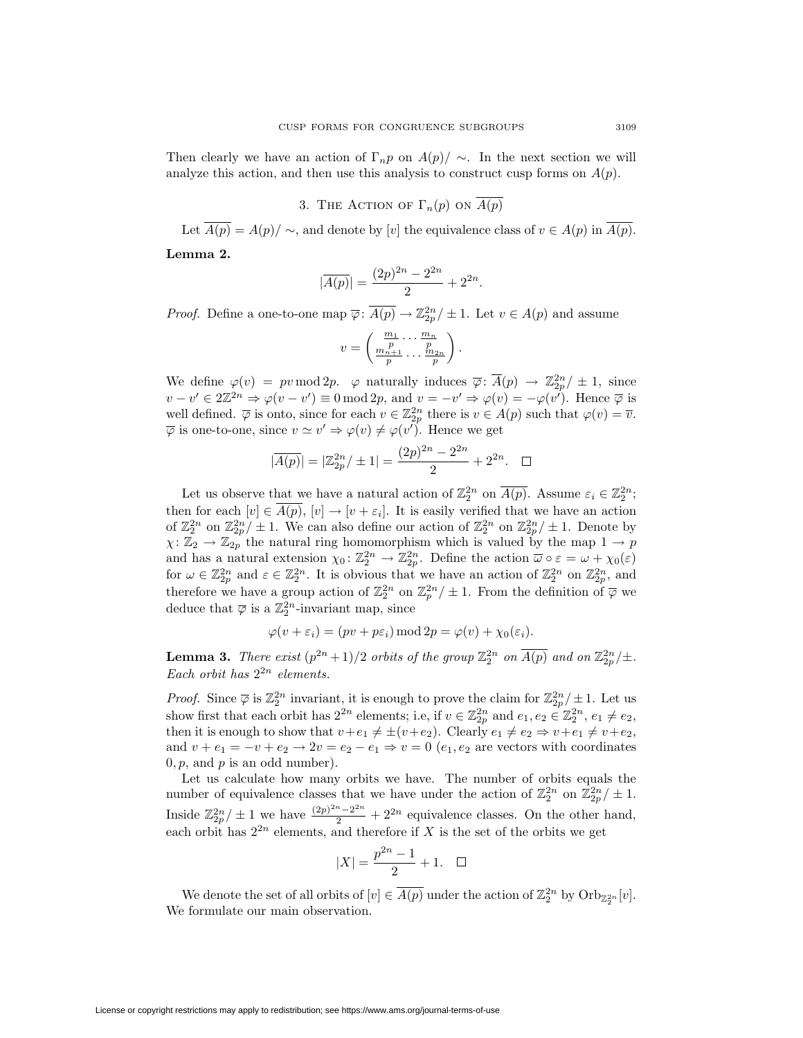Then clearly we have an action of  $\Gamma_n p$  on  $A(p)/\sim$ . In the next section we will analyze this action, and then use this analysis to construct cusp forms on  $A(p)$ .

3. THE ACTION OF  $\Gamma_n(p)$  on  $\overline{A(p)}$ 

Let  $\overline{A(p)} = A(p)/\sim$ , and denote by [*v*] the equivalence class of  $v \in A(p)$  in  $\overline{A(p)}$ .

**Lemma 2.**

$$
|\overline{A(p)}| = \frac{(2p)^{2n} - 2^{2n}}{2} + 2^{2n}.
$$

*Proof.* Define a one-to-one map  $\overline{\varphi}$ :  $\overline{A(p)} \to \mathbb{Z}_{2p}^{2n}/\pm 1$ . Let  $v \in A(p)$  and assume

$$
v = \left(\frac{\frac{m_1}{p} \cdots \frac{m_n}{p}}{\frac{m_{n+1}}{p} \cdots \frac{m_{2n}}{p}}\right).
$$

We define  $\varphi(v) = pv \mod 2p$ .  $\varphi$  naturally induces  $\overline{\varphi} \colon \overline{A}(p) \to \mathbb{Z}_{2p}^{2n}/\pm 1$ , since  $v - v' \in 2\mathbb{Z}^{2n} \Rightarrow \varphi(v - v') \equiv 0 \mod 2p$ , and  $v = -v' \Rightarrow \varphi(v) = -\varphi(v')$ . Hence  $\overline{\varphi}$  is well defined.  $\overline{\varphi}$  is onto, since for each  $v \in \mathbb{Z}_{2p}^{2n}$  there is  $v \in A(p)$  such that  $\varphi(v) = \overline{v}$ .  $\overline{\varphi}$  is one-to-one, since  $v \simeq v' \Rightarrow \varphi(v) \neq \varphi(v')$ . Hence we get

$$
|\overline{A(p)}| = |\mathbb{Z}_{2p}^{2n}/\pm 1| = \frac{(2p)^{2n} - 2^{2n}}{2} + 2^{2n}.\quad \Box
$$

Let us observe that we have a natural action of  $\mathbb{Z}_2^{2n}$  on  $\overline{A(p)}$ . Assume  $\varepsilon_i \in \mathbb{Z}_2^{2n}$ ; then for each  $[v] \in \overline{A(p)}$ ,  $[v] \to [v + \varepsilon_i]$ . It is easily verified that we have an action of  $\mathbb{Z}_{2}^{2n}$  on  $\mathbb{Z}_{2p}^{2n}/\pm 1$ . We can also define our action of  $\mathbb{Z}_{2}^{2n}$  on  $\mathbb{Z}_{2p}^{2n}/\pm 1$ . Denote by  $\chi: \mathbb{Z}_2 \to \mathbb{Z}_{2p}$  the natural ring homomorphism which is valued by the map  $1 \to p$ and has a natural extension  $\chi_0: \mathbb{Z}_2^{2n} \to \mathbb{Z}_{2p}^{2n}$ . Define the action  $\overline{\omega} \circ \varepsilon = \omega + \chi_0(\varepsilon)$ for  $\omega \in \mathbb{Z}_{2p}^{2n}$  and  $\varepsilon \in \mathbb{Z}_{2}^{2n}$ . It is obvious that we have an action of  $\mathbb{Z}_{2}^{2n}$  on  $\mathbb{Z}_{2p}^{2n}$ , and therefore we have a group action of  $\mathbb{Z}_2^{2n}$  on  $\mathbb{Z}_p^{2n}/\pm 1$ . From the definition of  $\overline{\varphi}$  we deduce that  $\overline{\varphi}$  is a  $\mathbb{Z}_2^{2n}$ -invariant map, since

$$
\varphi(v+\varepsilon_i) = (pv+p\varepsilon_i) \bmod 2p = \varphi(v) + \chi_0(\varepsilon_i).
$$

**Lemma 3.** *There exist*  $(p^{2n}+1)/2$  *orbits of the group*  $\mathbb{Z}_2^{2n}$  *on*  $\overline{A(p)}$  *and on*  $\mathbb{Z}_{2p}^{2n}/\pm$ *. Each orbit has* 2<sup>2</sup>*<sup>n</sup> elements.*

*Proof.* Since  $\overline{\varphi}$  is  $\mathbb{Z}_2^{2n}$  invariant, it is enough to prove the claim for  $\mathbb{Z}_{2p}^{2n}/\pm 1$ . Let us show first that each orbit has  $2^{2n}$  elements; i.e, if  $v \in \mathbb{Z}_{2p}^{2n}$  and  $e_1, e_2 \in \mathbb{Z}_2^{2n}, e_1 \neq e_2$ , then it is enough to show that  $v+e_1 \neq \pm (v+e_2)$ . Clearly  $e_1 \neq e_2 \Rightarrow v+e_1 \neq v+e_2$ , and  $v + e_1 = -v + e_2 \rightarrow 2v = e_2 - e_1 \Rightarrow v = 0$  (*e*<sub>1</sub>*, e*<sub>2</sub> are vectors with coordinates  $0, p$ , and  $p$  is an odd number).

Let us calculate how many orbits we have. The number of orbits equals the number of equivalence classes that we have under the action of  $\mathbb{Z}_2^{2n}$  on  $\mathbb{Z}_{2p}^{2n}/\pm 1$ . Inside  $\mathbb{Z}_{2p}^{2n}/\pm 1$  we have  $\frac{(2p)^{2n}-2^{2n}}{2}+2^{2n}$  equivalence classes. On the other hand, each orbit has  $2^{2n}$  elements, and therefore if *X* is the set of the orbits we get

$$
|X| = \frac{p^{2n} - 1}{2} + 1. \quad \Box
$$

We denote the set of all orbits of  $[v] \in \overline{A(p)}$  under the action of  $\mathbb{Z}_2^{2n}$  by  $\text{Orb}_{\mathbb{Z}_2^{2n}}[v]$ . We formulate our main observation.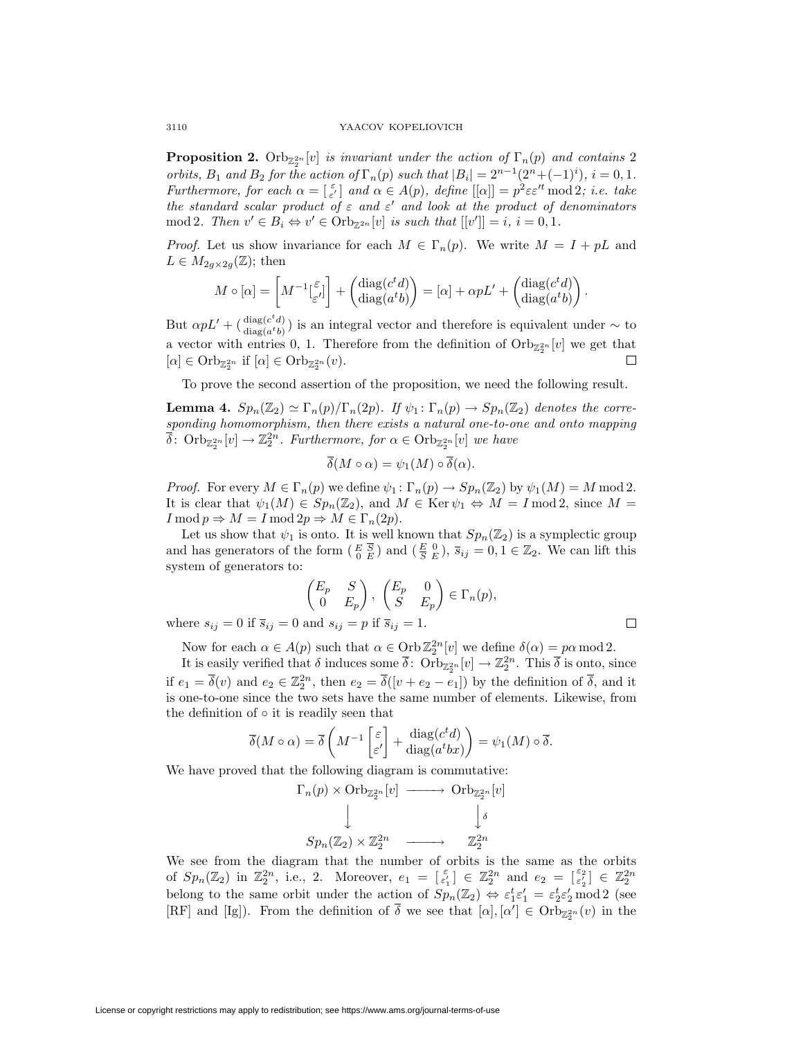**Proposition 2.** Orb<sub> $\mathbb{Z}_2^{2n}[v]$  *is invariant under the action of*  $\Gamma_n(p)$  *and contains* 2</sub> orbits,  $B_1$  and  $B_2$  for the action of  $\Gamma_n(p)$  such that  $|B_i| = 2^{n-1}(2^n + (-1)^i)$ ,  $i = 0, 1$ . *Furthermore, for each*  $\alpha = \begin{bmatrix} \varepsilon \\ \varepsilon' \end{bmatrix}$  and  $\alpha \in A(p)$ *, define*  $[[\alpha]] = p^2 \varepsilon \varepsilon'^t \mod 2$ *; i.e. take the standard scalar product of*  $\varepsilon$  *and*  $\varepsilon'$  *and look at the product of denominators*  $\text{mod } 2$ *. Then*  $v' \in B_i \Leftrightarrow v' \in \text{Orb}_{\mathbb{Z}^{2n}}[v]$  *is such that*  $[[v']] = i, i = 0, 1$ *.* 

*Proof.* Let us show invariance for each  $M \in \Gamma_n(p)$ . We write  $M = I + pL$  and  $L \in M_{2q \times 2q}(\mathbb{Z})$ ; then

$$
M \circ [\alpha] = \left[ M^{-1} \begin{bmatrix} \varepsilon \\ \varepsilon' \end{bmatrix} \right] + \begin{pmatrix} \text{diag}(c^t d) \\ \text{diag}(a^t b) \end{pmatrix} = [\alpha] + \alpha p L' + \begin{pmatrix} \text{diag}(c^t d) \\ \text{diag}(a^t b) \end{pmatrix}.
$$

But  $\alpha pL' + (\frac{\text{diag}(c^t d)}{\text{diag}(a^t b)})$  is an integral vector and therefore is equivalent under  $\sim$  to a vector with entries 0, 1. Therefore from the definition of  $\text{Orb}_{\mathbb{Z}_2^{2n}}[v]$  we get that  $[\alpha] \in \mathrm{Orb}_{\mathbb{Z}_2^{2n}}$  if  $[\alpha] \in \mathrm{Orb}_{\mathbb{Z}_2^{2n}}(v)$ .

To prove the second assertion of the proposition, we need the following result.

**Lemma 4.**  $Sp_n(\mathbb{Z}_2) \simeq \Gamma_n(p)/\Gamma_n(2p)$ . If  $\psi_1 : \Gamma_n(p) \to Sp_n(\mathbb{Z}_2)$  denotes the corre*sponding homomorphism, then there exists a natural one-to-one and onto mapping*  $\overline{\delta}$ : Orb<sub> $\mathbb{Z}_{2}^{2n}[v] \rightarrow \mathbb{Z}_{2}^{2n}$ . Furthermore, for  $\alpha \in \text{Orb}_{\mathbb{Z}_{2}^{2n}}[v]$  we have</sub>

$$
\overline{\delta}(M \circ \alpha) = \psi_1(M) \circ \overline{\delta}(\alpha).
$$

*Proof.* For every  $M \in \Gamma_n(p)$  we define  $\psi_1 \colon \Gamma_n(p) \to Sp_n(\mathbb{Z}_2)$  by  $\psi_1(M) = M \text{ mod } 2$ . It is clear that  $\psi_1(M) \in Sp_n(\mathbb{Z}_2)$ , and  $M \in \text{Ker } \psi_1 \Leftrightarrow M = I \mod 2$ , since  $M =$  $I \bmod p \Rightarrow M = I \bmod 2p \Rightarrow M \in \Gamma_n(2p).$ 

Let us show that  $\psi_1$  is onto. It is well known that  $Sp_n(\mathbb{Z}_2)$  is a symplectic group and has generators of the form  $(E \overline{S})$  and  $(E \overline{S})$ ,  $\overline{s}_{ij} = 0, 1 \in \mathbb{Z}_2$ . We can lift this system of generators to:

$$
\begin{pmatrix} E_p & S \\ 0 & E_p \end{pmatrix}, \begin{pmatrix} E_p & 0 \\ S & E_p \end{pmatrix} \in \Gamma_n(p),
$$
\nand

\n
$$
s \cdot p = n \text{ if } \overline{s} \cdot p = 1
$$

where  $s_{ij} = 0$  if  $\overline{s}_{ij} = 0$  and  $s_{ij} = p$  if  $\overline{s}_{ij}$ .

 $\Box$ 

Now for each  $\alpha \in A(p)$  such that  $\alpha \in \text{Orb}\,\mathbb{Z}_2^{2n}[v]$  we define  $\delta(\alpha) = p\alpha \mod 2$ .

It is easily verified that  $\delta$  induces some  $\overline{\delta}$ :  $Orb_{\mathbb{Z}_2^{2n}}[v] \to \mathbb{Z}_2^{2n}$ . This  $\overline{\delta}$  is onto, since if  $e_1 = \overline{\delta}(v)$  and  $e_2 \in \mathbb{Z}_2^{2n}$ , then  $e_2 = \overline{\delta}([v + e_2 - e_1])$  by the definition of  $\overline{\delta}$ , and it is one-to-one since the two sets have the same number of elements. Likewise, from the definition of *◦* it is readily seen that

$$
\overline{\delta}(M \circ \alpha) = \overline{\delta} \left( M^{-1} \begin{bmatrix} \varepsilon \\ \varepsilon' \end{bmatrix} + \frac{\text{diag}(c^t d)}{\text{diag}(a^t b x)} \right) = \psi_1(M) \circ \overline{\delta}.
$$

We have proved that the following diagram is commutative:

$$
\Gamma_n(p) \times \text{Orb}_{\mathbb{Z}_2^{2n}}[v] \longrightarrow \text{Orb}_{\mathbb{Z}_2^{2n}}[v]
$$
\n
$$
\downarrow \qquad \qquad \downarrow \delta
$$
\n
$$
Sp_n(\mathbb{Z}_2) \times \mathbb{Z}_2^{2n} \longrightarrow \mathbb{Z}_2^{2n}
$$

We see from the diagram that the number of orbits is the same as the orbits of  $Sp_n(\mathbb{Z}_2)$  in  $\mathbb{Z}_2^{2n}$ , i.e., 2. Moreover,  $e_1 = \begin{bmatrix} \varepsilon \\ \varepsilon'_1 \end{bmatrix} \in \mathbb{Z}_2^{2n}$  and  $e_2 = \begin{bmatrix} \varepsilon_2 \\ \varepsilon'_2 \end{bmatrix} \in \mathbb{Z}_2^{2n}$ belong to the same orbit under the action of  $Sp_n(\mathbb{Z}_2) \Leftrightarrow \varepsilon_1^t \varepsilon_1' = \varepsilon_2^t \varepsilon_2' \bmod 2$  (see [RF] and [Ig]). From the definition of  $\delta$  we see that  $[\alpha], [\alpha'] \in \text{Orb}_{\mathbb{Z}_2^{2n}}(v)$  in the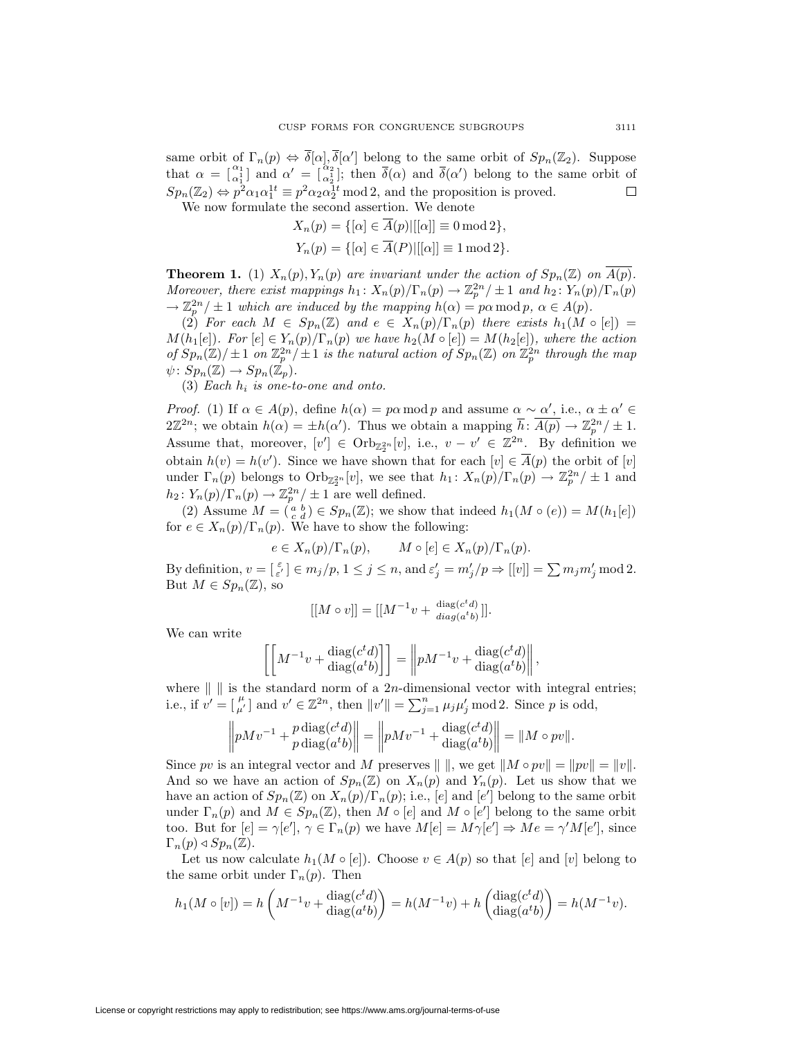same orbit of  $\Gamma_n(p) \Leftrightarrow \delta[\alpha], \delta[\alpha']$  belong to the same orbit of  $Sp_n(\mathbb{Z}_2)$ . Suppose that  $\alpha = \begin{bmatrix} \alpha_1 \\ \alpha_1^1 \end{bmatrix}$  and  $\alpha' = \begin{bmatrix} \alpha_2 \\ \alpha_2^1 \end{bmatrix}$ ; then  $\overline{\delta}(\alpha)$  and  $\overline{\delta}(\alpha')$  belong to the same orbit of  $Sp_n(\mathbb{Z}_2) \Leftrightarrow p^2 \alpha_1 \alpha_1^{1t} \equiv p^2 \alpha_2 \alpha_2^{1t} \mod 2$ , and the proposition is proved.  $\Box$ 

We now formulate the second assertion. We denote *Xn*(*p*) = *{*[*α*] *∈ A*(*p*)*|*[[*α*]] *≡* 0 mod 2*},*

$$
X_n(p) = \{[\alpha] \in A(p)| |[\alpha]] \equiv 0 \mod 2\},
$$
  

$$
Y_n(p) = \{[\alpha] \in \overline{A}(P)| |[\alpha]] \equiv 1 \mod 2\}.
$$

**Theorem 1.** (1)  $X_n(p), Y_n(p)$  are invariant under the action of  $Sp_n(\mathbb{Z})$  on  $\overline{A(p)}$ . Moreover, there exist mappings  $h_1: X_n(p)/\Gamma_n(p) \to \mathbb{Z}_p^{2n}/\pm 1$  and  $h_2: Y_n(p)/\Gamma_n(p)$  $\rightarrow \mathbb{Z}_p^{2n}/\pm 1$  *which are induced by the mapping*  $h(\alpha) = p\alpha \mod p$ ,  $\alpha \in A(p)$ .

(2) For each  $M \in Sp_n(\mathbb{Z})$  and  $e \in X_n(p)/\Gamma_n(p)$  there exists  $h_1(M \circ [e]) =$  $M(h_1[e])$ . For  $[e] \in Y_n(p)/\Gamma_n(p)$  we have  $h_2(M \circ [e]) = M(h_2[e])$ , where the action *of*  $Sp_n(\mathbb{Z})/\pm 1$  *on*  $\mathbb{Z}_p^{2n}/\pm 1$  *is the natural action of*  $Sp_n(\mathbb{Z})$  *on*  $\mathbb{Z}_p^{2n}$  *through the map*  $\psi: Sp_n(\mathbb{Z}) \to Sp_n(\mathbb{Z}_p).$ 

(3) *Each h<sup>i</sup> is one-to-one and onto.*

*Proof.* (1) If  $\alpha \in A(p)$ , define  $h(\alpha) = p\alpha \mod p$  and assume  $\alpha \sim \alpha'$ , i.e.,  $\alpha \pm \alpha' \in A(p)$  $2\mathbb{Z}^{2n}$ ; we obtain  $h(\alpha) = \pm h(\alpha')$ . Thus we obtain a mapping  $\overline{h}$ :  $\overline{A(p)} \to \mathbb{Z}_p^{2n}/\pm 1$ . Assume that, moreover,  $[v'] \in \mathrm{Orb}_{\mathbb{Z}_2^{2n}}[v]$ , i.e.,  $v - v' \in \mathbb{Z}^{2n}$ . By definition we obtain  $h(v) = h(v')$ . Since we have shown that for each  $[v] \in A(p)$  the orbit of  $[v]$ under  $\Gamma_n(p)$  belongs to  $\text{Orb}_{\mathbb{Z}_2^{2n}}[v]$ , we see that  $h_1: X_n(p)/\Gamma_n(p) \to \mathbb{Z}_p^{2n}/\pm 1$  and  $h_2$ :  $Y_n(p)/\Gamma_n(p) \to \mathbb{Z}_p^{2n}/\pm 1$  are well defined.

(2) Assume  $M = \begin{pmatrix} a & b \\ c & d \end{pmatrix} \in Sp_n(\mathbb{Z})$ ; we show that indeed  $h_1(M \circ (e)) = M(h_1[e])$ for  $e \in X_n(p)/\Gamma_n(p)$ . We have to show the following:

$$
e \in X_n(p)/\Gamma_n(p), \qquad M \circ [e] \in X_n(p)/\Gamma_n(p).
$$

By definition,  $v = \begin{bmatrix} \varepsilon \\ \varepsilon' \end{bmatrix} \in m_j/p, 1 \le j \le n$ , and  $\varepsilon'_j = m'_j/p \Rightarrow [[v]] = \sum m_j m'_j \mod 2$ . But  $M \in Sp_n(\mathbb{Z})$ , so

$$
[[M \circ v]] = [[M^{-1}v + \frac{\text{diag}(c^t d)}{\text{diag}(a^t b)}]].
$$

We can write

$$
\left[ \left[ M^{-1}v + \frac{\text{diag}(c^t d)}{\text{diag}(a^t b)} \right] \right] = \left\| p M^{-1}v + \frac{\text{diag}(c^t d)}{\text{diag}(a^t b)} \right\|,
$$

where  $\| \cdot \|$  is the standard norm of a 2*n*-dimensional vector with integral entries; i.e., if  $v' = \begin{bmatrix} \mu \\ \mu' \end{bmatrix}$  and  $v' \in \mathbb{Z}^{2n}$ , then  $||v'|| = \sum_{j=1}^{n} \mu_j \mu'_j \mod 2$ . Since p is odd,

$$
\left\| p M v^{-1} + p \frac{\text{diag}(c^t d)}{\text{diag}(a^t b)} \right\| = \left\| p M v^{-1} + \frac{\text{diag}(c^t d)}{\text{diag}(a^t b)} \right\| = \| M \circ p v \|.
$$

Since *pv* is an integral vector and *M* preserves  $\| \cdot \|$ , we get  $\| M \circ pv \| = \| pv \| = \| v \|$ . And so we have an action of  $Sp_n(\mathbb{Z})$  on  $X_n(p)$  and  $Y_n(p)$ . Let us show that we have an action of  $Sp_n(\mathbb{Z})$  on  $X_n(p)/\Gamma_n(p)$ ; i.e.,  $[e]$  and  $[e']$  belong to the same orbit under  $\Gamma_n(p)$  and  $M \in Sp_n(\mathbb{Z})$ , then  $M \circ [e]$  and  $M \circ [e']$  belong to the same orbit too. But for  $[e] = \gamma[e'], \gamma \in \Gamma_n(p)$  we have  $M[e] = M\gamma[e'] \Rightarrow Me = \gamma'M[e'],$  since  $\Gamma_n(p) \triangleleft Sp_n(\mathbb{Z})$ .

Let us now calculate  $h_1(M \circ [e])$ . Choose  $v \in A(p)$  so that  $[e]$  and  $[v]$  belong to the same orbit under  $\Gamma_n(p)$ . Then

$$
h_1(M \circ [v]) = h\left(M^{-1}v + \frac{\text{diag}(c^t d)}{\text{diag}(a^t b)}\right) = h(M^{-1}v) + h\left(\frac{\text{diag}(c^t d)}{\text{diag}(a^t b)}\right) = h(M^{-1}v).
$$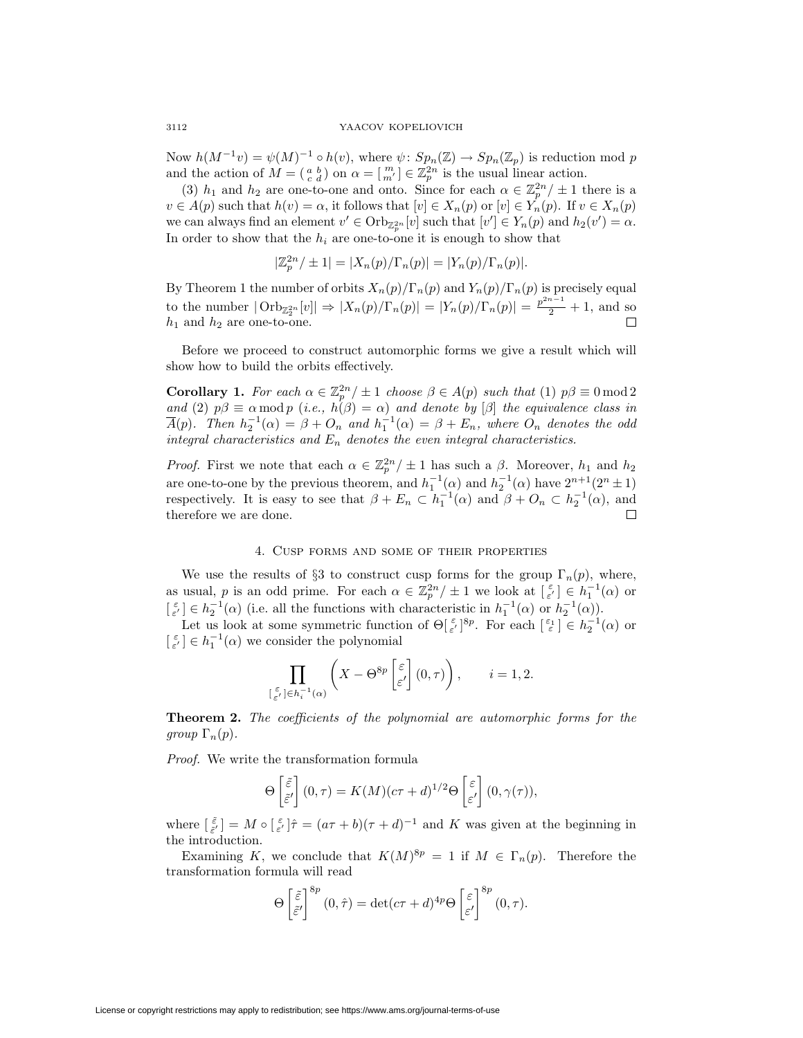#### 3112 YAACOV KOPELIOVICH

Now  $h(M^{-1}v) = \psi(M)^{-1} \circ h(v)$ , where  $\psi: Sp_n(\mathbb{Z}) \to Sp_n(\mathbb{Z}_p)$  is reduction mod p and the action of  $M = \begin{pmatrix} a & b \\ c & d \end{pmatrix}$  on  $\alpha = \begin{bmatrix} m \\ m' \end{bmatrix} \in \mathbb{Z}_p^{2n}$  is the usual linear action.

(3)  $h_1$  and  $h_2$  are one-to-one and onto. Since for each  $\alpha \in \mathbb{Z}_p^{2n}/\pm 1$  there is a  $v \in A(p)$  such that  $h(v) = \alpha$ , it follows that  $[v] \in X_n(p)$  or  $[v] \in Y_n(p)$ . If  $v \in X_n(p)$ we can always find an element  $v' \in \text{Orb}_{\mathbb{Z}_p^{2n}}[v]$  such that  $[v'] \in Y_n(p)$  and  $h_2(v') = \alpha$ . In order to show that the  $h_i$  are one-to-one it is enough to show that

$$
|\mathbb{Z}_p^{2n}/\pm 1| = |X_n(p)/\Gamma_n(p)| = |Y_n(p)/\Gamma_n(p)|.
$$

By Theorem 1 the number of orbits  $X_n(p)/\Gamma_n(p)$  and  $Y_n(p)/\Gamma_n(p)$  is precisely equal to the number  $|\text{Orb}_{\mathbb{Z}_2^{2n}}[v]| \Rightarrow |X_n(p)/\Gamma_n(p)| = |Y_n(p)/\Gamma_n(p)| = \frac{p^{2n-1}}{2} + 1$ , and so  $h_1$  and  $h_2$  are one-to-one.

Before we proceed to construct automorphic forms we give a result which will show how to build the orbits effectively.

**Corollary 1.** *For each*  $\alpha \in \mathbb{Z}_p^{2n}/\pm 1$  *choose*  $\beta \in A(p)$  *such that* (1)  $p\beta \equiv 0 \mod 2$ *and* (2)  $p\beta \equiv \alpha \mod p$  (*i.e.,*  $h(\beta) = \alpha$ ) *and denote by* [ $\beta$ ] *the equivalence class in*  $\overline{A}(p)$ *.* Then  $h_2^{-1}(\alpha) = \beta + O_n$  and  $h_1^{-1}(\alpha) = \beta + E_n$ , where  $O_n$  denotes the odd *integral characteristics and E<sup>n</sup> denotes the even integral characteristics.*

*Proof.* First we note that each  $\alpha \in \mathbb{Z}_p^{2n}/\pm 1$  has such a  $\beta$ . Moreover,  $h_1$  and  $h_2$ are one-to-one by the previous theorem, and  $h_1^{-1}(\alpha)$  and  $h_2^{-1}(\alpha)$  have  $2^{n+1}(2^n \pm 1)$ respectively. It is easy to see that  $\beta + E_n \subset h_1^{-1}(\alpha)$  and  $\beta + O_n \subset h_2^{-1}(\alpha)$ , and therefore we are done.

# 4. Cusp forms and some of their properties

We use the results of  $\S3$  to construct cusp forms for the group  $\Gamma_n(p)$ , where, as usual, *p* is an odd prime. For each  $\alpha \in \mathbb{Z}_p^{2n}/\pm 1$  we look at  $\begin{bmatrix} \varepsilon \\ \varepsilon' \end{bmatrix} \in h_1^{-1}(\alpha)$  or  $\left[\begin{array}{c} \varepsilon \\ \varepsilon' \end{array}\right] \in h_2^{-1}(\alpha)$  (i.e. all the functions with characteristic in  $h_1^{-1}(\alpha)$  or  $h_2^{-1}(\alpha)$ ). Let us look at some symmetric function of  $\Theta[\frac{\varepsilon}{\varepsilon}]^{8p}$ . For each  $\left[\frac{\varepsilon_1}{\varepsilon}\right] \in h_2^{-1}(\alpha)$  or

 $\left[\begin{smallmatrix} \varepsilon \\ \varepsilon' \end{smallmatrix}\right] \in h_1^{-1}(\alpha)$  we consider the polynomial

$$
\prod_{\substack{\lceil \frac{\varepsilon}{\varepsilon'}\rfloor \in h_i^{-1}(\alpha)}} \left(X - \Theta^{8p} \left[\frac{\varepsilon}{\varepsilon'}\right] (0, \tau)\right), \qquad i = 1, 2.
$$

**Theorem 2.** *The coefficients of the polynomial are automorphic forms for the group*  $\Gamma_n(p)$ *.* 

*Proof.* We write the transformation formula

$$
\Theta\left[\frac{\tilde{\varepsilon}}{\tilde{\varepsilon}'}\right](0,\tau) = K(M)(c\tau+d)^{1/2}\Theta\left[\frac{\varepsilon}{\varepsilon'}\right](0,\gamma(\tau)),
$$

where  $\begin{bmatrix} \tilde{\varepsilon} \\ \tilde{\varepsilon}' \end{bmatrix} = M \circ \begin{bmatrix} \varepsilon \\ \varepsilon' \end{bmatrix} \hat{\tau} = (a\tau + b)(\tau + d)^{-1}$  and K was given at the beginning in the introduction.

Examining *K*, we conclude that  $K(M)^{8p} = 1$  if  $M \in \Gamma_n(p)$ . Therefore the transformation formula will read

$$
\Theta\left[\frac{\tilde{\varepsilon}}{\tilde{\varepsilon}'}\right]^{8p}(0,\hat{\tau})=\det(c\tau+d)^{4p}\Theta\left[\frac{\varepsilon}{\varepsilon'}\right]^{8p}(0,\tau).
$$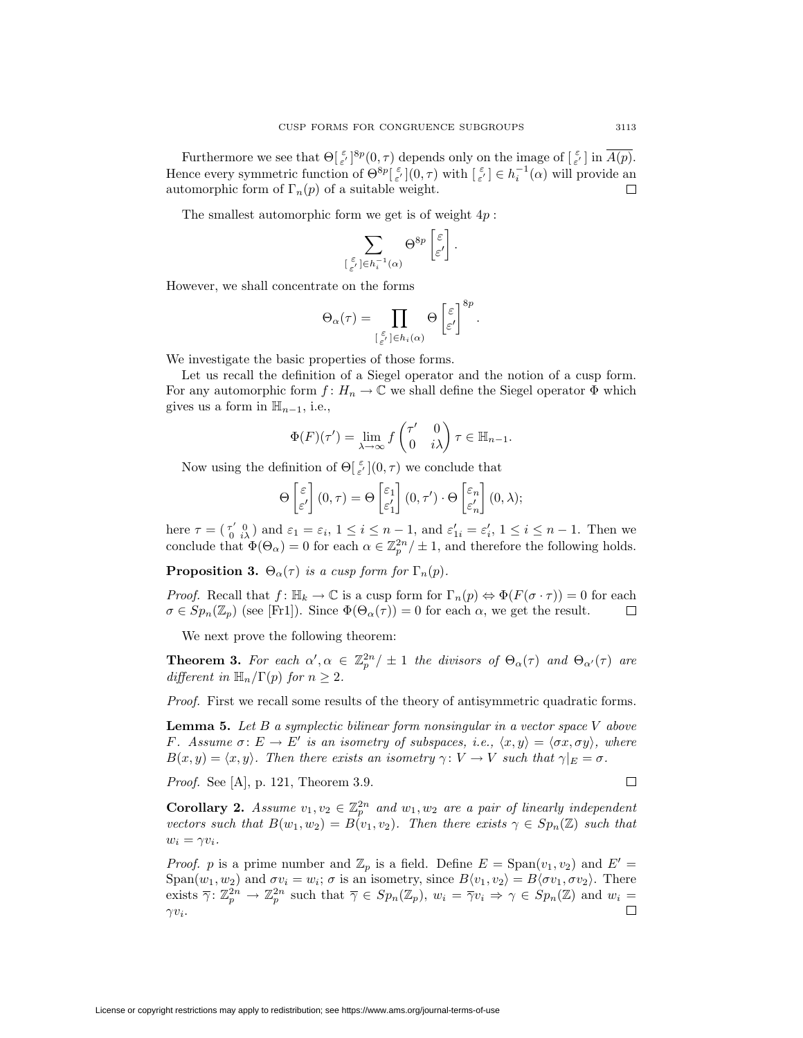Furthermore we see that  $\Theta[\frac{\varepsilon}{\varepsilon'}]^{8p}(0,\tau)$  depends only on the image of  $[\frac{\varepsilon}{\varepsilon'}]$  in  $\overline{A(p)}$ . Hence every symmetric function of  $\Theta^{\otimes p}[\epsilon]$   $(\infty, \tau)$  with  $[\epsilon] \in h_i^{-1}(\alpha)$  will provide an automorphic form of  $\Gamma_n(p)$  of a suitable weight. 口

The smallest automorphic form we get is of weight 4*p* :

$$
\sum_{\left[\begin{smallmatrix} \varepsilon \\ \varepsilon'\end{smallmatrix}\right]\in h_i^{-1}(\alpha)} \Theta^{8p} \begin{bmatrix} \varepsilon \\ \varepsilon'\end{bmatrix}.
$$

However, we shall concentrate on the forms

$$
\Theta_\alpha(\tau) = \prod_{\substack{\left[\begin{smallmatrix} \varepsilon \\ \varepsilon'\end{smallmatrix}\right] \in h_i(\alpha)}} \Theta\left[\begin{smallmatrix} \varepsilon \\ \varepsilon'\end{smallmatrix}\right]^{8p}.
$$

We investigate the basic properties of those forms.

Let us recall the definition of a Siegel operator and the notion of a cusp form. For any automorphic form  $f: H_n \to \mathbb{C}$  we shall define the Siegel operator  $\Phi$  which gives us a form in  $\mathbb{H}_{n-1}$ , i.e.,

$$
\Phi(F)(\tau') = \lim_{\lambda \to \infty} f\begin{pmatrix} \tau' & 0 \\ 0 & i\lambda \end{pmatrix} \tau \in \mathbb{H}_{n-1}.
$$

Now using the definition of  $\Theta[\frac{\varepsilon}{\varepsilon'}](0, \tau)$  we conclude that

$$
\Theta\begin{bmatrix} \varepsilon \\ \varepsilon' \end{bmatrix}(0,\tau) = \Theta\begin{bmatrix} \varepsilon_1 \\ \varepsilon'_1 \end{bmatrix}(0,\tau')\cdot\Theta\begin{bmatrix} \varepsilon_n \\ \varepsilon'_n \end{bmatrix}(0,\lambda);
$$

here  $\tau = \begin{pmatrix} \tau' & 0 \\ 0 & i\lambda \end{pmatrix}$  and  $\varepsilon_1 = \varepsilon_i$ ,  $1 \leq i \leq n-1$ , and  $\varepsilon'_{1i} = \varepsilon'_i$ ,  $1 \leq i \leq n-1$ . Then we conclude that  $\Phi(\Theta_\alpha) = 0$  for each  $\alpha \in \mathbb{Z}_p^{2n} / \pm 1$ , and therefore the following holds.

**Proposition 3.**  $\Theta_{\alpha}(\tau)$  *is a cusp form for*  $\Gamma_n(p)$ *.* 

*Proof.* Recall that  $f: \mathbb{H}_k \to \mathbb{C}$  is a cusp form for  $\Gamma_n(p) \Leftrightarrow \Phi(F(\sigma \cdot \tau)) = 0$  for each  $\sigma \in Sp_n(\mathbb{Z}_p)$  (see [Fr1]). Since  $\Phi(\Theta_\alpha(\tau)) = 0$  for each  $\alpha$ , we get the result.  $\Box$ 

We next prove the following theorem:

**Theorem 3.** For each  $\alpha', \alpha \in \mathbb{Z}_p^{2n}/\pm 1$  the divisors of  $\Theta_{\alpha}(\tau)$  and  $\Theta_{\alpha'}(\tau)$  are *different in*  $\mathbb{H}_n/\Gamma(p)$  *for*  $n \geq 2$ *.* 

*Proof.* First we recall some results of the theory of antisymmetric quadratic forms.

**Lemma 5.** *Let B a symplectic bilinear form nonsingular in a vector space V above F.* Assume  $\sigma: E \to E'$  *is an isometry of subspaces, i.e.,*  $\langle x, y \rangle = \langle \sigma x, \sigma y \rangle$ *, where*  $B(x, y) = \langle x, y \rangle$ *. Then there exists an isometry*  $\gamma: V \to V$  *such that*  $\gamma|_E = \sigma$ *.* 

*Proof.* See [A], p. 121, Theorem 3.9.

 $\Box$ 

**Corollary 2.** Assume  $v_1, v_2 \in \mathbb{Z}_p^{2n}$  and  $w_1, w_2$  are a pair of linearly independent *vectors such that*  $B(w_1, w_2) = B(v_1, v_2)$ *. Then there exists*  $\gamma \in Sp_n(\mathbb{Z})$  *such that*  $w_i = \gamma v_i$ .

*Proof. p* is a prime number and  $\mathbb{Z}_p$  is a field. Define  $E = \text{Span}(v_1, v_2)$  and  $E' =$ Span $(w_1, w_2)$  and  $\sigma v_i = w_i$ ;  $\sigma$  is an isometry, since  $B\langle v_1, v_2 \rangle = B\langle \sigma v_1, \sigma v_2 \rangle$ . There exists  $\overline{\gamma}$ :  $\mathbb{Z}_p^{2n} \to \mathbb{Z}_p^{2n}$  such that  $\overline{\gamma} \in Sp_n(\mathbb{Z}_p)$ ,  $w_i = \overline{\gamma}v_i \Rightarrow \gamma \in Sp_n(\mathbb{Z})$  and  $w_i =$ *γvi*.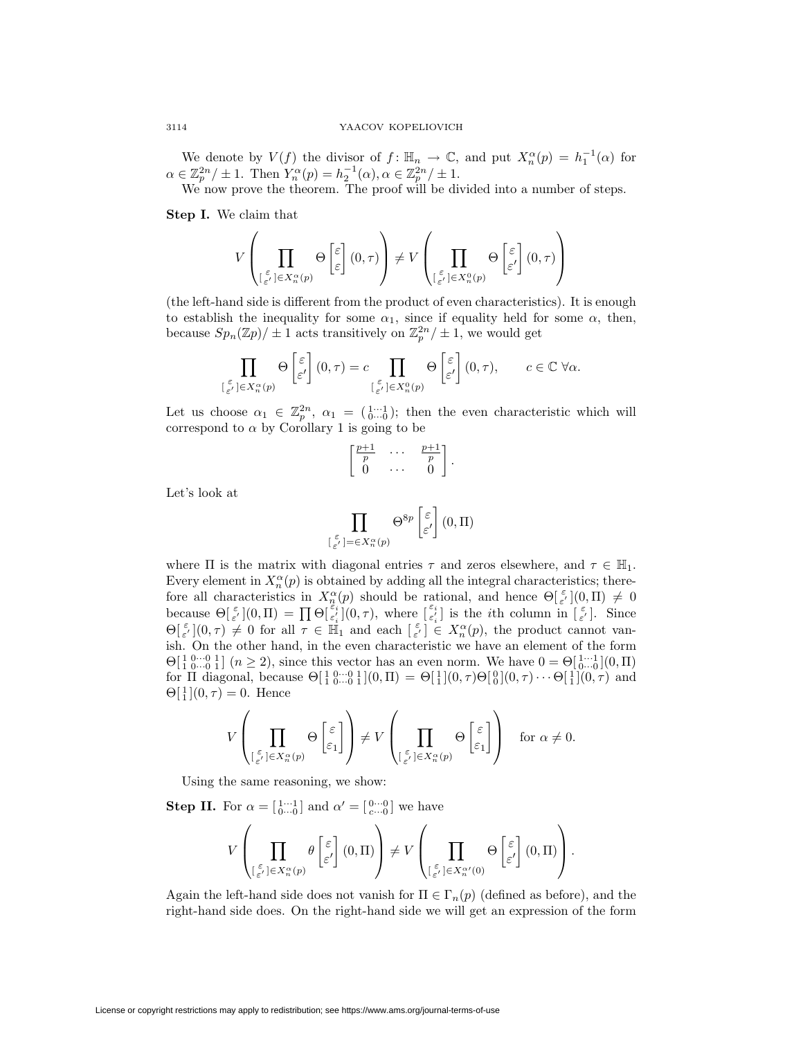We denote by  $V(f)$  the divisor of  $f: \mathbb{H}_n \to \mathbb{C}$ , and put  $X_n^{\alpha}(p) = h_1^{-1}(\alpha)$  for  $\alpha \in \mathbb{Z}_p^{2n}/\pm 1$ . Then  $Y_n^{\alpha}(p) = h_2^{-1}(\alpha), \alpha \in \mathbb{Z}_p^{2n}/\pm 1$ .

We now prove the theorem. The proof will be divided into a number of steps.

**Step I.** We claim that

$$
V\left(\prod_{\substack{\varepsilon\\ \varepsilon'\neq \varepsilon}} \Theta\left[\varepsilon\right](0,\tau)\right) \neq V\left(\prod_{\substack{\varepsilon\\ \varepsilon'\neq \varepsilon}} \Theta\left[\varepsilon\right](0,\tau)\right)
$$

(the left-hand side is different from the product of even characteristics). It is enough to establish the inequality for some  $\alpha_1$ , since if equality held for some  $\alpha$ , then, because  $Sp_n(\mathbb{Z}p)/\pm 1$  acts transitively on  $\mathbb{Z}_p^{2n}/\pm 1$ , we would get

$$
\prod_{\left[\begin{smallmatrix}\varepsilon\\\varepsilon'\end{smallmatrix}\right]\in X_n^\alpha(p)} \Theta\begin{bmatrix}\varepsilon\\\varepsilon'\end{bmatrix}(0,\tau)=c\prod_{\left[\begin{smallmatrix}\varepsilon\\\varepsilon'\end{smallmatrix}\right]\in X_n^0(p)} \Theta\begin{bmatrix}\varepsilon\\\varepsilon'\end{bmatrix}(0,\tau),\qquad c\in\mathbb{C}\;\forall\alpha.
$$

Let us choose  $\alpha_1 \in \mathbb{Z}_p^{2n}$ ,  $\alpha_1 = \begin{pmatrix} 1 & \cdots & 1 \\ 0 & \cdots & 0 \end{pmatrix}$ ; then the even characteristic which will correspond to  $\alpha$  by Corollary 1 is going to be

$$
\begin{bmatrix} \frac{p+1}{p} & \cdots & \frac{p+1}{p} \\ 0 & \cdots & 0 \end{bmatrix}.
$$

Let's look at

$$
\prod_{\substack{\varepsilon\\ \varepsilon'\\ \varepsilon' }} \bigcup_{j=\in X_n^{\alpha}(p)} \Theta^{8p} \left[ \varepsilon' \right] (0, \Pi)
$$

where  $\Pi$  is the matrix with diagonal entries  $\tau$  and zeros elsewhere, and  $\tau \in \mathbb{H}_1$ . Every element in  $X_n^{\alpha}(p)$  is obtained by adding all the integral characteristics; therefore all characteristics in  $X_n^{\alpha}(p)$  should be rational, and hence  $\Theta[\frac{\varepsilon}{\varepsilon'}](0,\Pi) \neq 0$ because  $\Theta[\frac{\varepsilon}{\varepsilon'}](0,\Pi) = \prod \Theta[\frac{\varepsilon_i}{\varepsilon_i'}](0,\tau)$ , where  $[\frac{\varepsilon_i}{\varepsilon_i'}]$  is the *i*th column in  $[\frac{\varepsilon}{\varepsilon'}]$ . Since  $\Theta[\epsilon]_{\epsilon'}^{\epsilon}(0,\tau) \neq 0$  for all  $\tau \in \mathbb{H}_1$  and each  $[\epsilon] \in X_n^{\alpha}(p)$ , the product cannot vanish. On the other hand, in the even characteristic we have an element of the form  $Θ[10...01]$  (*n* ≥ 2), since this vector has an even norm. We have  $0 = Θ[1...1]$ (0*,* Π) for  $\Pi$  diagonal, because  $\Theta[\frac{1}{1} \stackrel{0}{0} \cdots \stackrel{0}{0} \stackrel{1}{1}](0, \Pi) = \Theta[\frac{1}{1}](0, \tau) \Theta[\frac{0}{0}](0, \tau) \cdots \Theta[\frac{1}{1}](0, \tau)$  and  $\Theta[\frac{1}{1}](0, \tau) = 0.$  Hence

$$
V\left(\prod_{\substack{\varepsilon\\ \lfloor \varepsilon'\rfloor \in X_n^{\alpha}(p)}} \Theta\left[\frac{\varepsilon}{\varepsilon_1}\right]\right) \neq V\left(\prod_{\substack{\varepsilon\\ \lfloor \varepsilon'\rfloor \in X_n^{\alpha}(p)}} \Theta\left[\frac{\varepsilon}{\varepsilon_1}\right]\right) \text{ for } \alpha \neq 0.
$$

Using the same reasoning, we show:

**Step II.** For  $\alpha = \begin{bmatrix} 1 & \cdots & 1 \\ 0 & \cdots & 0 \end{bmatrix}$  and  $\alpha' = \begin{bmatrix} 0 & \cdots & 0 \\ c & \cdots & 0 \end{bmatrix}$  we have

$$
V\left(\prod_{\substack{\varepsilon\\ \lfloor\frac{\varepsilon}{\varepsilon'}\rfloor\in X_n^{\alpha}(p)}}\theta\left[\frac{\varepsilon}{\varepsilon'}\right](0,\Pi)\right)\neq V\left(\prod_{\substack{\lfloor\frac{\varepsilon}{\varepsilon'}\rfloor\in X_n^{\alpha'}(0)}}\Theta\left[\frac{\varepsilon}{\varepsilon'}\right](0,\Pi)\right).
$$

Again the left-hand side does not vanish for  $\Pi \in \Gamma_n(p)$  (defined as before), and the right-hand side does. On the right-hand side we will get an expression of the form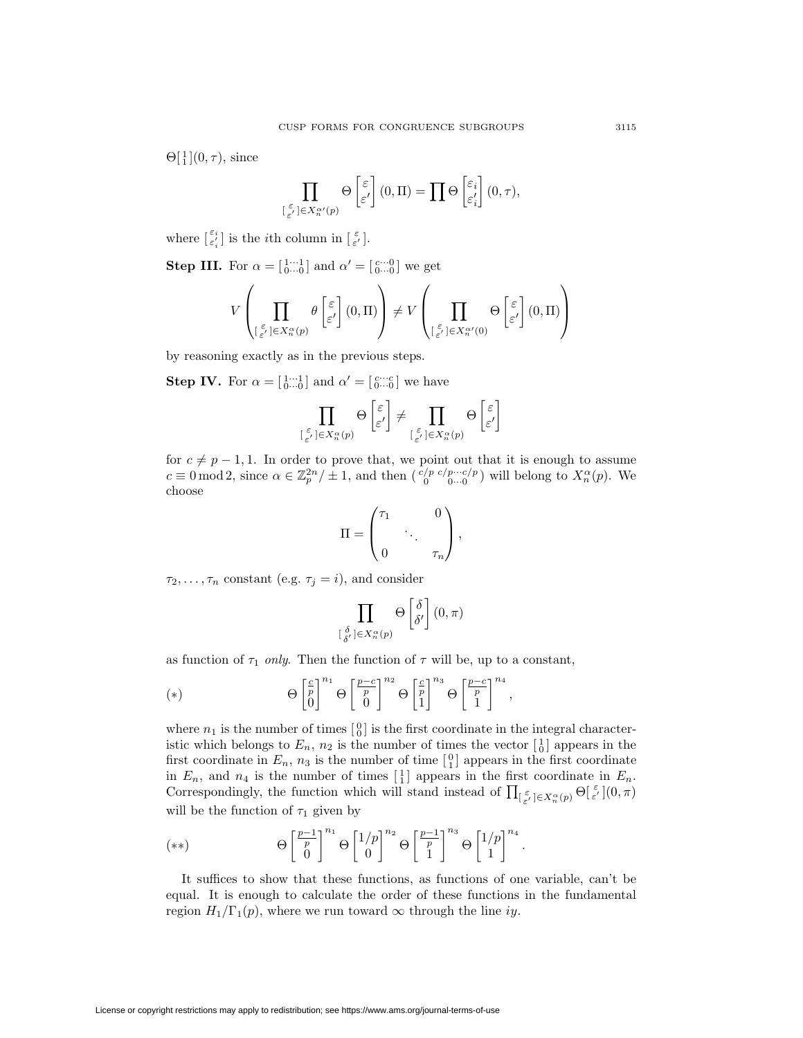$\Theta[\frac{1}{1}](0,\tau)$ , since

$$
\prod_{\left[\begin{smallmatrix}\varepsilon\\\varepsilon'\end{smallmatrix}\right]\in X_n^{\alpha\prime}(p)} \Theta\begin{bmatrix}\varepsilon\\\varepsilon'\end{bmatrix}(0,\Pi)=\prod\Theta\begin{bmatrix}\varepsilon_i\\\varepsilon_i'\end{bmatrix}(0,\tau),
$$

where  $\begin{bmatrix} \varepsilon_i \\ \varepsilon'_i \end{bmatrix}$  is the *i*<sup>th</sup> column in  $\begin{bmatrix} \varepsilon \\ \varepsilon' \end{bmatrix}$ .

**Step III.** For  $\alpha = \begin{bmatrix} 1 & \cdots & 1 \\ 0 & \cdots & 0 \end{bmatrix}$  and  $\alpha' = \begin{bmatrix} c & \cdots & 0 \\ 0 & \cdots & 0 \end{bmatrix}$  we get

$$
V\left(\prod_{\substack{\varepsilon\\ \lfloor \varepsilon'\rfloor\in X_n^{\alpha}(p)}}\theta\left[\varepsilon\atop{\varepsilon'}\right](0,\Pi)\right)\neq V\left(\prod_{\substack{\varepsilon\\ \lfloor \varepsilon'\rfloor\in X_n^{\alpha'}(0)}}\Theta\left[\varepsilon\atop{\varepsilon'}\right](0,\Pi)\right)
$$

by reasoning exactly as in the previous steps.

**Step IV.** For  $\alpha = \begin{bmatrix} 1 \cdots 1 \\ 0 \cdots 0 \end{bmatrix}$  and  $\alpha' = \begin{bmatrix} c \cdots c \\ 0 \cdots 0 \end{bmatrix}$  we have

$$
\prod_{\substack{\left[\begin{smallmatrix}\varepsilon\\ \varepsilon'\end{smallmatrix}\right]\in X_n^\alpha(p)}}\Theta\begin{bmatrix}\varepsilon\\ \varepsilon'\end{bmatrix}\neq\prod_{\substack{\left[\begin{smallmatrix}\varepsilon\\ \varepsilon'\end{smallmatrix}\right]\in X_n^\alpha(p)}}\Theta\begin{bmatrix}\varepsilon\\ \varepsilon'\end{bmatrix}
$$

for  $c \neq p-1,1$ . In order to prove that, we point out that it is enough to assume  $c \equiv 0 \mod 2$ , since  $\alpha \in \mathbb{Z}_p^{2n} / \pm 1$ , and then  $\binom{c/p \ c/p \cdots c/p}{0 \cdots 0}$  will belong to  $X_n^{\alpha}(p)$ . We choose

$$
\Pi = \begin{pmatrix} \tau_1 & 0 \\ & \ddots & \\ 0 & & \tau_n \end{pmatrix},
$$

 $\tau_2, \ldots, \tau_n$  constant (e.g.  $\tau_j = i$ ), and consider

$$
\prod_{\substack{\delta \\ \delta' \\ \delta' }} \Theta \left[ \delta \atop \delta' \right] (0, \pi)
$$

as function of  $\tau_1$  *only*. Then the function of  $\tau$  will be, up to a constant,

(\*) 
$$
\Theta \begin{bmatrix} \frac{c}{p} \\ 0 \end{bmatrix}^{n_1} \Theta \begin{bmatrix} \frac{p-c}{p} \\ 0 \end{bmatrix}^{n_2} \Theta \begin{bmatrix} \frac{c}{p} \\ 1 \end{bmatrix}^{n_3} \Theta \begin{bmatrix} \frac{p-c}{p} \\ 1 \end{bmatrix}^{n_4},
$$

[ *δ*

where  $n_1$  is the number of times  $\begin{bmatrix} 0 \\ 0 \end{bmatrix}$  is the first coordinate in the integral characteristic which belongs to  $E_n$ ,  $n_2$  is the number of times the vector  $\begin{bmatrix} 1 \\ 0 \end{bmatrix}$  appears in the first coordinate in  $E_n$ ,  $n_3$  is the number of time  $\begin{bmatrix} 0 \\ 1 \end{bmatrix}$  appears in the first coordinate in  $E_n$ , and  $n_4$  is the number of times  $\begin{bmatrix} 1 \end{bmatrix}$  appears in the first coordinate in  $E_n$ . Correspondingly, the function which will stand instead of  $\prod_{\substack{\varepsilon \\ \varepsilon}} E_{\alpha}^{\alpha}(p) \Theta_{\varepsilon}^{\varepsilon}(0, \pi)$ will be the function of  $\tau_1$  given by

$$
(**) \qquad \Theta\left[\frac{p-1}{p}\right]^{n_1} \Theta\left[\frac{1/p}{0}\right]^{n_2} \Theta\left[\frac{p-1}{p}\right]^{n_3} \Theta\left[\frac{1/p}{1}\right]^{n_4}.
$$

It suffices to show that these functions, as functions of one variable, can't be equal. It is enough to calculate the order of these functions in the fundamental region  $H_1/\Gamma_1(p)$ , where we run toward  $\infty$  through the line *iy*.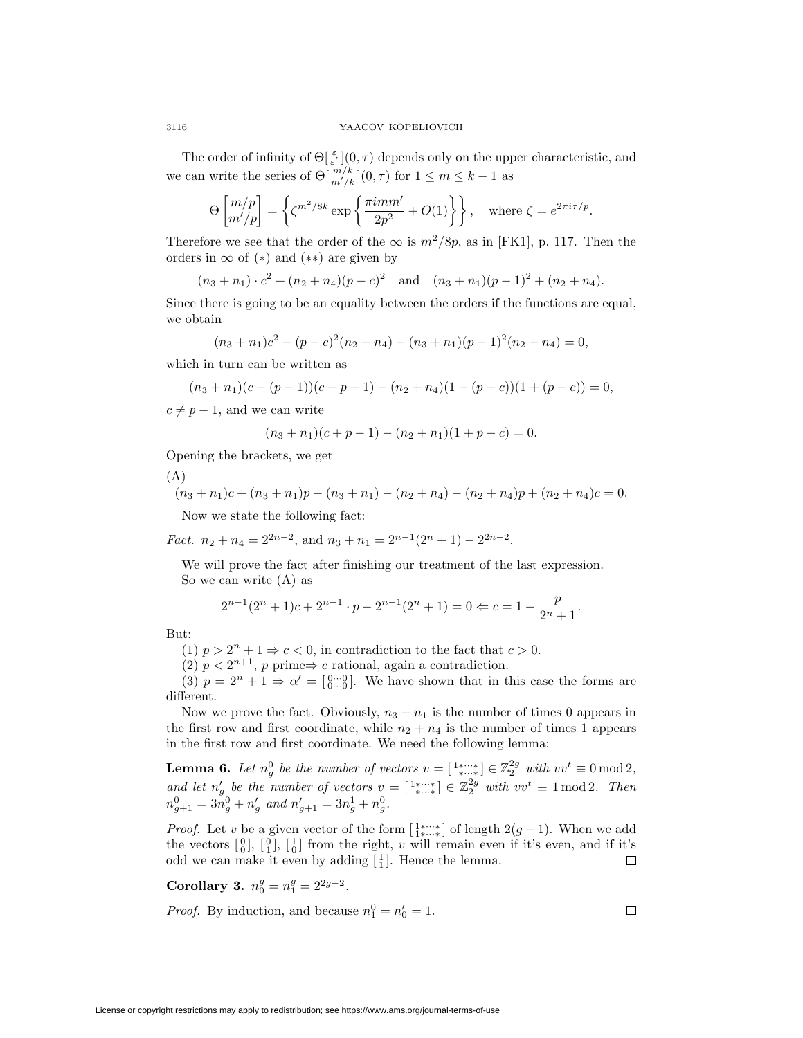The order of infinity of  $\Theta[\frac{\varepsilon}{\varepsilon'}](0,\tau)$  depends only on the upper characteristic, and we can write the series of  $\Theta[\frac{m}{k}](0, \tau)$  for  $1 \leq m \leq k-1$  as

$$
\Theta\begin{bmatrix} m/p \\ m'/p \end{bmatrix} = \left\{ \zeta^{m^2/8k} \exp\left\{ \frac{\pi i m m'}{2p^2} + O(1) \right\} \right\}, \quad \text{where } \zeta = e^{2\pi i \tau/p}.
$$

Therefore we see that the order of the  $\infty$  is  $m^2/8p$ , as in [FK1], p. 117. Then the orders in *∞* of (*∗*) and (*∗∗*) are given by

$$
(n_3 + n_1) \cdot c^2 + (n_2 + n_4)(p - c)^2
$$
 and  $(n_3 + n_1)(p - 1)^2 + (n_2 + n_4)$ .

Since there is going to be an equality between the orders if the functions are equal, we obtain

$$
(n3 + n1)c2 + (p - c)2(n2 + n4) - (n3 + n1)(p - 1)2(n2 + n4) = 0,
$$

which in turn can be written as

$$
(n_3 + n_1)(c - (p - 1))(c + p - 1) - (n_2 + n_4)(1 - (p - c))(1 + (p - c)) = 0,
$$

 $c \neq p-1$ , and we can write

$$
(n3 + n1)(c + p - 1) - (n2 + n1)(1 + p - c) = 0.
$$

Opening the brackets, we get

(A)

$$
(n_3 + n_1)c + (n_3 + n_1)p - (n_3 + n_1) - (n_2 + n_4) - (n_2 + n_4)p + (n_2 + n_4)c = 0.
$$

Now we state the following fact:

*Fact.*  $n_2 + n_4 = 2^{2n-2}$ , and  $n_3 + n_1 = 2^{n-1}(2^n + 1) - 2^{2n-2}$ .

We will prove the fact after finishing our treatment of the last expression. So we can write (A) as

$$
2^{n-1}(2^n + 1)c + 2^{n-1} \cdot p - 2^{n-1}(2^n + 1) = 0 \Leftrightarrow c = 1 - \frac{p}{2^n + 1}.
$$

But:

(1)  $p > 2^n + 1 \Rightarrow c < 0$ , in contradiction to the fact that  $c > 0$ .

(2)  $p < 2^{n+1}$ , *p* prime⇒ *c* rational, again a contradiction.

(3)  $p = 2^n + 1 \Rightarrow \alpha' = \begin{bmatrix} 0 & \cdots & 0 \\ 0 & \cdots & 0 \end{bmatrix}$ . We have shown that in this case the forms are different.

Now we prove the fact. Obviously,  $n_3 + n_1$  is the number of times 0 appears in the first row and first coordinate, while  $n_2 + n_4$  is the number of times 1 appears in the first row and first coordinate. We need the following lemma:

**Lemma 6.** Let  $n_g^0$  be the number of vectors  $v = \begin{bmatrix} 1 & * & * \\ * & \ddots & * \end{bmatrix} \in \mathbb{Z}_2^{2g}$  with  $vv^t \equiv 0 \mod 2$ , *and let*  $n'_g$  *be the number of vectors*  $v = \begin{bmatrix} 1 & * & * \\ * & * & * \end{bmatrix} \in \mathbb{Z}_2^{2g}$  *with*  $vv^t \equiv 1 \mod 2$ . Then  $n_{g+1}^0 = 3n_g^0 + n_g'$  and  $n_{g+1}' = 3n_g^1 + n_g^0$ .

*Proof.* Let *v* be a given vector of the form  $\begin{bmatrix} 1^{\ast}\cdots\ast\\ 1^{\ast}\cdots\ast \end{bmatrix}$  of length 2(*g* − 1). When we add the vectors  $\begin{bmatrix} 0 \\ 0 \end{bmatrix}$ ,  $\begin{bmatrix} 0 \\ 1 \end{bmatrix}$ ,  $\begin{bmatrix} 1 \\ 0 \end{bmatrix}$  from the right, *v* will remain even if it's even, and if it's odd we can make it even by adding  $\begin{bmatrix} 1 \\ 1 \end{bmatrix}$ . Hence the lemma.  $\Box$ 

 $\Box$ 

**Corollary 3.**  $n_0^g = n_1^g = 2^{2g-2}$ .

*Proof.* By induction, and because  $n_1^0 = n'_0 = 1$ .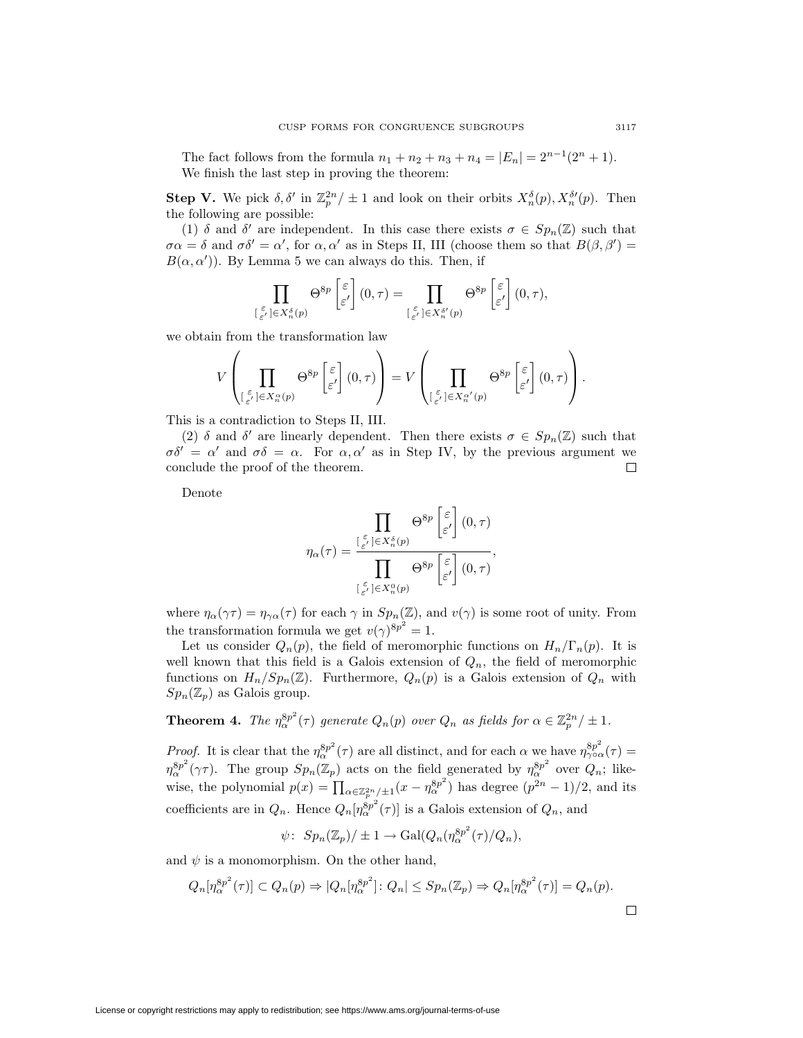The fact follows from the formula  $n_1 + n_2 + n_3 + n_4 = |E_n| = 2^{n-1}(2^n + 1)$ . We finish the last step in proving the theorem:

**Step V.** We pick  $\delta, \delta'$  in  $\mathbb{Z}_p^{2n}/\pm 1$  and look on their orbits  $X_n^{\delta}(p), X_n^{\delta'}(p)$ . Then the following are possible:

(1)  $\delta$  and  $\delta'$  are independent. In this case there exists  $\sigma \in Sp_n(\mathbb{Z})$  such that  $\sigma \alpha = \delta$  and  $\sigma \delta' = \alpha'$ , for  $\alpha, \alpha'$  as in Steps II, III (choose them so that  $B(\beta, \beta') =$  $B(\alpha, \alpha')$ ). By Lemma 5 we can always do this. Then, if

$$
\prod_{\substack{\varepsilon\\ \varepsilon'\leq \varepsilon'\\ \varepsilon'\leq X_n^{\delta}(p)}} \Theta^{8p} \left[ \varepsilon' \right] (0, \tau) = \prod_{\substack{\varepsilon\\ \varepsilon'\leq X_n^{\delta'}(p)}} \Theta^{8p} \left[ \varepsilon \atop \varepsilon' \right] (0, \tau),
$$

we obtain from the transformation law

$$
V\left(\prod_{\substack{\varepsilon\\ \lfloor\frac{\varepsilon}{\varepsilon'}\rfloor\in X_n^{\alpha}(p)}}\Theta^{8p}\left[\frac{\varepsilon}{\varepsilon'}\right](0,\tau)\right)=V\left(\prod_{\substack{\varepsilon\\ \lfloor\frac{\varepsilon}{\varepsilon'}\rfloor\in X_n^{\alpha'}(p)}}\Theta^{8p}\left[\frac{\varepsilon}{\varepsilon'}\right](0,\tau)\right).
$$

This is a contradiction to Steps II, III.

(2)  $\delta$  and  $\delta'$  are linearly dependent. Then there exists  $\sigma \in Sp_n(\mathbb{Z})$  such that  $\sigma \delta' = \alpha'$  and  $\sigma \delta = \alpha$ . For  $\alpha, \alpha'$  as in Step IV, by the previous argument we conclude the proof of the theorem.  $\Box$ 

Denote

$$
\eta_{\alpha}(\tau) = \frac{\prod\limits_{\substack{\varepsilon \\ \varepsilon' \\ \varepsilon' \\ \varepsilon' \\ \varepsilon}} \Theta^{8p} \begin{bmatrix} \varepsilon \\ \varepsilon' \\ \varepsilon' \\ \varepsilon' \\ \varepsilon' \end{bmatrix} (0, \tau)}{\prod\limits_{\substack{\varepsilon \\ \varepsilon' \\ \varepsilon' \\ \varepsilon' \\ \varepsilon' \\ \varepsilon''}} \Theta^{8p} \begin{bmatrix} \varepsilon \\ \varepsilon' \\ \varepsilon' \\ \varepsilon' \\ \varepsilon' \end{bmatrix} (0, \tau)},
$$

where  $\eta_{\alpha}(\gamma \tau) = \eta_{\gamma \alpha}(\tau)$  for each  $\gamma$  in  $Sp_n(\mathbb{Z})$ , and  $v(\gamma)$  is some root of unity. From the transformation formula we get  $v(\gamma)^{8p^2} = 1$ .

Let us consider  $Q_n(p)$ , the field of meromorphic functions on  $H_n/\Gamma_n(p)$ . It is well known that this field is a Galois extension of  $Q_n$ , the field of meromorphic functions on  $H_n/Sp_n(\mathbb{Z})$ . Furthermore,  $Q_n(p)$  is a Galois extension of  $Q_n$  with  $Sp_n(\mathbb{Z}_p)$  as Galois group.

**Theorem 4.** The  $\eta_{\alpha}^{8p^2}(\tau)$  generate  $Q_n(p)$  over  $Q_n$  as fields for  $\alpha \in \mathbb{Z}_p^{2n}/\pm 1$ .

*Proof.* It is clear that the  $\eta_{\alpha}^{8p^2}(\tau)$  are all distinct, and for each  $\alpha$  we have  $\eta_{\gamma \circ \alpha}^{8p^2}(\tau)$  = *η*<sup>8*p*2</sup> ( $\gamma$ *τ*). The group  $Sp_n(\mathbb{Z}_p)$  acts on the field generated by  $η_\alpha^{8p^2}$  over  $Q_n$ ; likewise, the polynomial  $p(x) = \prod_{\alpha \in \mathbb{Z}_p^{2n}/\pm 1}(x - \eta_\alpha^{8p^2})$  has degree  $(p^{2n} - 1)/2$ , and its coefficients are in  $Q_n$ . Hence  $Q_n[\eta_\alpha^{8p^2}(\tau)]$  is a Galois extension of  $Q_n$ , and

$$
\psi\colon Sp_n(\mathbb{Z}_p)/\pm 1\to \text{Gal}(Q_n(\eta_\alpha^{8p^2}(\tau)/Q_n),
$$

and  $\psi$  is a monomorphism. On the other hand,

$$
Q_n[\eta_\alpha^{8p^2}(\tau)] \subset Q_n(p) \Rightarrow |Q_n[\eta_\alpha^{8p^2}] \colon Q_n| \le Sp_n(\mathbb{Z}_p) \Rightarrow Q_n[\eta_\alpha^{8p^2}(\tau)] = Q_n(p).
$$